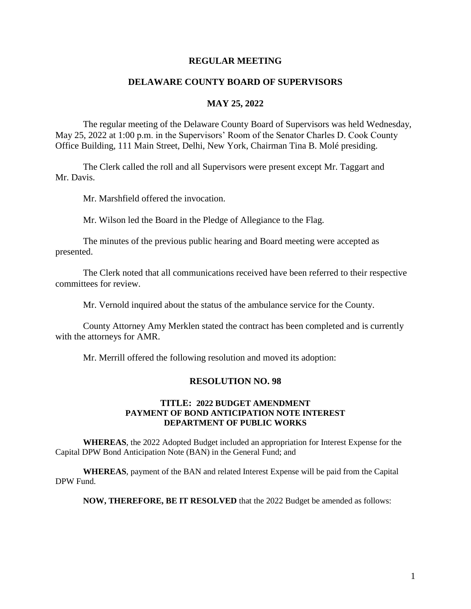#### **REGULAR MEETING**

### **DELAWARE COUNTY BOARD OF SUPERVISORS**

#### **MAY 25, 2022**

The regular meeting of the Delaware County Board of Supervisors was held Wednesday, May 25, 2022 at 1:00 p.m. in the Supervisors' Room of the Senator Charles D. Cook County Office Building, 111 Main Street, Delhi, New York, Chairman Tina B. Molé presiding.

The Clerk called the roll and all Supervisors were present except Mr. Taggart and Mr. Davis.

Mr. Marshfield offered the invocation.

Mr. Wilson led the Board in the Pledge of Allegiance to the Flag.

The minutes of the previous public hearing and Board meeting were accepted as presented.

The Clerk noted that all communications received have been referred to their respective committees for review.

Mr. Vernold inquired about the status of the ambulance service for the County.

County Attorney Amy Merklen stated the contract has been completed and is currently with the attorneys for AMR.

Mr. Merrill offered the following resolution and moved its adoption:

#### **RESOLUTION NO. 98**

#### **TITLE: 2022 BUDGET AMENDMENT PAYMENT OF BOND ANTICIPATION NOTE INTEREST DEPARTMENT OF PUBLIC WORKS**

**WHEREAS**, the 2022 Adopted Budget included an appropriation for Interest Expense for the Capital DPW Bond Anticipation Note (BAN) in the General Fund; and

**WHEREAS**, payment of the BAN and related Interest Expense will be paid from the Capital DPW Fund.

**NOW, THEREFORE, BE IT RESOLVED** that the 2022 Budget be amended as follows: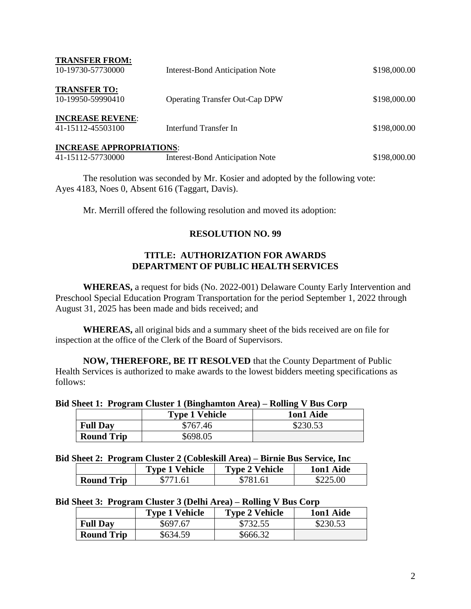| <b>TRANSFER FROM:</b><br>10-19730-57730000           | <b>Interest-Bond Anticipation Note</b> | \$198,000.00 |
|------------------------------------------------------|----------------------------------------|--------------|
| <b>TRANSFER TO:</b><br>10-19950-59990410             | <b>Operating Transfer Out-Cap DPW</b>  | \$198,000.00 |
| <b>INCREASE REVENE:</b><br>41-15112-45503100         | Interfund Transfer In                  | \$198,000.00 |
| <b>INCREASE APPROPRIATIONS:</b><br>41-15112-57730000 | <b>Interest-Bond Anticipation Note</b> | \$198,000.00 |

The resolution was seconded by Mr. Kosier and adopted by the following vote: Ayes 4183, Noes 0, Absent 616 (Taggart, Davis).

Mr. Merrill offered the following resolution and moved its adoption:

# **RESOLUTION NO. 99**

# **TITLE: AUTHORIZATION FOR AWARDS DEPARTMENT OF PUBLIC HEALTH SERVICES**

**WHEREAS,** a request for bids (No. 2022-001) Delaware County Early Intervention and Preschool Special Education Program Transportation for the period September 1, 2022 through August 31, 2025 has been made and bids received; and

**WHEREAS,** all original bids and a summary sheet of the bids received are on file for inspection at the office of the Clerk of the Board of Supervisors.

**NOW, THEREFORE, BE IT RESOLVED** that the County Department of Public Health Services is authorized to make awards to the lowest bidders meeting specifications as follows:

#### **Bid Sheet 1: Program Cluster 1 (Binghamton Area) – Rolling V Bus Corp**

|                   | <b>Type 1 Vehicle</b> | 1on1 Aide |
|-------------------|-----------------------|-----------|
| <b>Full Day</b>   | \$767.46              | \$230.53  |
| <b>Round Trip</b> | \$698.05              |           |

#### **Bid Sheet 2: Program Cluster 2 (Cobleskill Area) – Birnie Bus Service, Inc**

|                   | <b>Type 1 Vehicle</b> | <b>Type 2 Vehicle</b> | 1on1 Aide |
|-------------------|-----------------------|-----------------------|-----------|
| <b>Round Trip</b> | 8771.61               | $^{\circ}7816$        | \$225.00  |

### **Bid Sheet 3: Program Cluster 3 (Delhi Area) – Rolling V Bus Corp**

|                   | <b>Type 1 Vehicle</b> | <b>Type 2 Vehicle</b> | 1on1 Aide |
|-------------------|-----------------------|-----------------------|-----------|
| <b>Full Day</b>   | \$697.67              | \$732.55              | \$230.53  |
| <b>Round Trip</b> | \$634.59              | \$666.32              |           |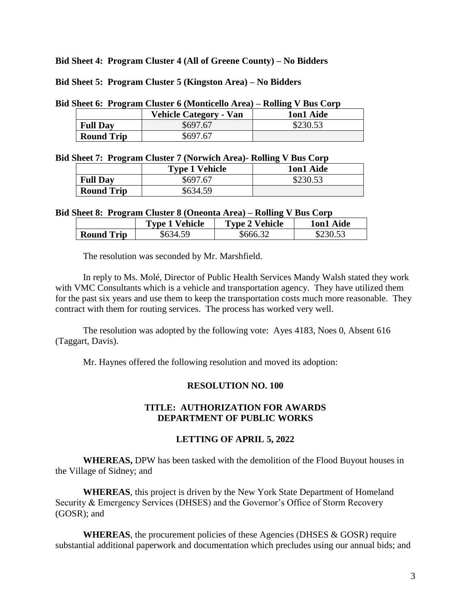**Bid Sheet 4: Program Cluster 4 (All of Greene County) – No Bidders**

**Bid Sheet 5: Program Cluster 5 (Kingston Area) – No Bidders**

**Bid Sheet 6: Program Cluster 6 (Monticello Area) – Rolling V Bus Corp**

|                   | <b>Vehicle Category - Van</b> | 1on1 Aide |
|-------------------|-------------------------------|-----------|
| <b>Full Day</b>   | \$697.67                      | \$230.53  |
| <b>Round Trip</b> | \$697.67                      |           |

#### **Bid Sheet 7: Program Cluster 7 (Norwich Area)- Rolling V Bus Corp**

|                   | <b>Type 1 Vehicle</b> | 1on1 Aide |
|-------------------|-----------------------|-----------|
| <b>Full Dav</b>   | \$697.67              | \$230.53  |
| <b>Round Trip</b> | \$634.59              |           |

#### **Bid Sheet 8: Program Cluster 8 (Oneonta Area) – Rolling V Bus Corp**

|                   | <b>Type 1 Vehicle</b> | <b>Type 2 Vehicle</b> | 1on1 Aide |
|-------------------|-----------------------|-----------------------|-----------|
| <b>Round Trip</b> | \$634.59              | \$666.32              |           |

The resolution was seconded by Mr. Marshfield.

In reply to Ms. Molé, Director of Public Health Services Mandy Walsh stated they work with VMC Consultants which is a vehicle and transportation agency. They have utilized them for the past six years and use them to keep the transportation costs much more reasonable. They contract with them for routing services. The process has worked very well.

The resolution was adopted by the following vote: Ayes 4183, Noes 0, Absent 616 (Taggart, Davis).

Mr. Haynes offered the following resolution and moved its adoption:

# **RESOLUTION NO. 100**

### **TITLE: AUTHORIZATION FOR AWARDS DEPARTMENT OF PUBLIC WORKS**

### **LETTING OF APRIL 5, 2022**

**WHEREAS,** DPW has been tasked with the demolition of the Flood Buyout houses in the Village of Sidney; and

**WHEREAS**, this project is driven by the New York State Department of Homeland Security & Emergency Services (DHSES) and the Governor's Office of Storm Recovery (GOSR); and

**WHEREAS**, the procurement policies of these Agencies (DHSES & GOSR) require substantial additional paperwork and documentation which precludes using our annual bids; and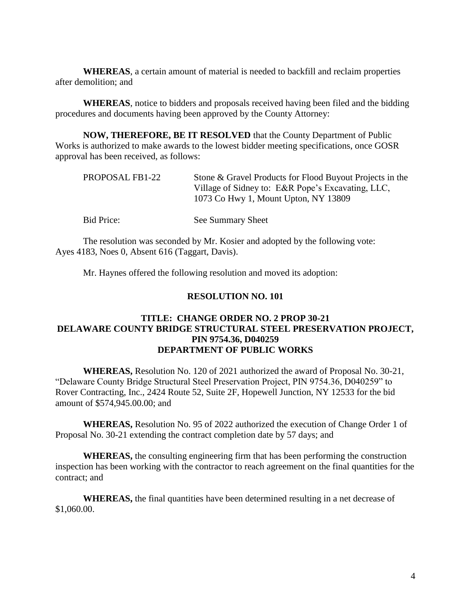**WHEREAS**, a certain amount of material is needed to backfill and reclaim properties after demolition; and

**WHEREAS**, notice to bidders and proposals received having been filed and the bidding procedures and documents having been approved by the County Attorney:

**NOW, THEREFORE, BE IT RESOLVED** that the County Department of Public Works is authorized to make awards to the lowest bidder meeting specifications, once GOSR approval has been received, as follows:

| PROPOSAL FB1-22 | Stone & Gravel Products for Flood Buyout Projects in the<br>Village of Sidney to: E&R Pope's Excavating, LLC,<br>1073 Co Hwy 1, Mount Upton, NY 13809 |
|-----------------|-------------------------------------------------------------------------------------------------------------------------------------------------------|
| Bid Price:      | See Summary Sheet                                                                                                                                     |

The resolution was seconded by Mr. Kosier and adopted by the following vote: Ayes 4183, Noes 0, Absent 616 (Taggart, Davis).

Mr. Haynes offered the following resolution and moved its adoption:

### **RESOLUTION NO. 101**

## **TITLE: CHANGE ORDER NO. 2 PROP 30-21 DELAWARE COUNTY BRIDGE STRUCTURAL STEEL PRESERVATION PROJECT, PIN 9754.36, D040259 DEPARTMENT OF PUBLIC WORKS**

**WHEREAS,** Resolution No. 120 of 2021 authorized the award of Proposal No. 30-21, "Delaware County Bridge Structural Steel Preservation Project, PIN 9754.36, D040259" to Rover Contracting, Inc., 2424 Route 52, Suite 2F, Hopewell Junction, NY 12533 for the bid amount of \$574,945.00.00; and

**WHEREAS,** Resolution No. 95 of 2022 authorized the execution of Change Order 1 of Proposal No. 30-21 extending the contract completion date by 57 days; and

**WHEREAS,** the consulting engineering firm that has been performing the construction inspection has been working with the contractor to reach agreement on the final quantities for the contract; and

**WHEREAS,** the final quantities have been determined resulting in a net decrease of \$1,060.00.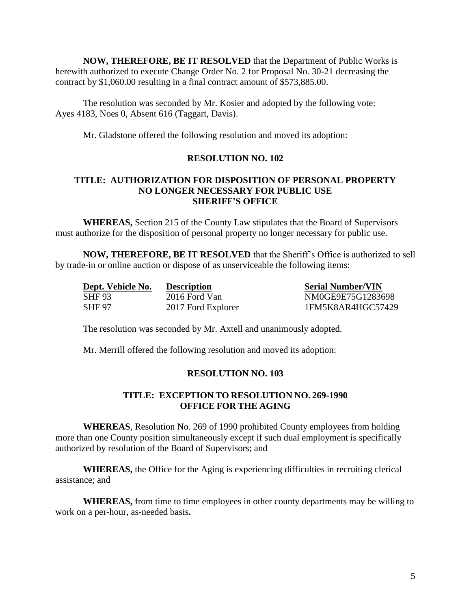**NOW, THEREFORE, BE IT RESOLVED** that the Department of Public Works is herewith authorized to execute Change Order No. 2 for Proposal No. 30-21 decreasing the contract by \$1,060.00 resulting in a final contract amount of \$573,885.00.

The resolution was seconded by Mr. Kosier and adopted by the following vote: Ayes 4183, Noes 0, Absent 616 (Taggart, Davis).

Mr. Gladstone offered the following resolution and moved its adoption:

# **RESOLUTION NO. 102**

### **TITLE: AUTHORIZATION FOR DISPOSITION OF PERSONAL PROPERTY NO LONGER NECESSARY FOR PUBLIC USE SHERIFF'S OFFICE**

**WHEREAS,** Section 215 of the County Law stipulates that the Board of Supervisors must authorize for the disposition of personal property no longer necessary for public use.

**NOW, THEREFORE, BE IT RESOLVED** that the Sheriff's Office is authorized to sell by trade-in or online auction or dispose of as unserviceable the following items:

| Dept. Vehicle No. | <b>Description</b> | <b>Serial Number/VIN</b> |
|-------------------|--------------------|--------------------------|
| SHF 93            | 2016 Ford Van      | NM0GE9E75G1283698        |
| SHF 97            | 2017 Ford Explorer | 1FM5K8AR4HGC57429        |

The resolution was seconded by Mr. Axtell and unanimously adopted.

Mr. Merrill offered the following resolution and moved its adoption:

### **RESOLUTION NO. 103**

# **TITLE: EXCEPTION TO RESOLUTION NO. 269-1990 OFFICE FOR THE AGING**

**WHEREAS**, Resolution No. 269 of 1990 prohibited County employees from holding more than one County position simultaneously except if such dual employment is specifically authorized by resolution of the Board of Supervisors; and

**WHEREAS,** the Office for the Aging is experiencing difficulties in recruiting clerical assistance; and

**WHEREAS,** from time to time employees in other county departments may be willing to work on a per-hour, as-needed basis**.**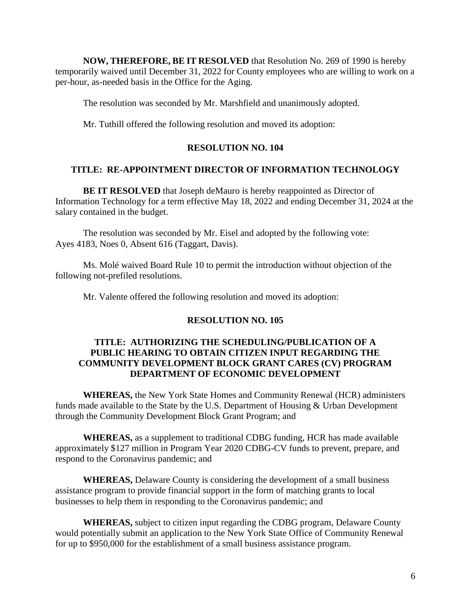**NOW, THEREFORE, BE IT RESOLVED** that Resolution No. 269 of 1990 is hereby temporarily waived until December 31, 2022 for County employees who are willing to work on a per-hour, as-needed basis in the Office for the Aging.

The resolution was seconded by Mr. Marshfield and unanimously adopted.

Mr. Tuthill offered the following resolution and moved its adoption:

### **RESOLUTION NO. 104**

### **TITLE: RE-APPOINTMENT DIRECTOR OF INFORMATION TECHNOLOGY**

**BE IT RESOLVED** that Joseph deMauro is hereby reappointed as Director of Information Technology for a term effective May 18, 2022 and ending December 31, 2024 at the salary contained in the budget.

The resolution was seconded by Mr. Eisel and adopted by the following vote: Ayes 4183, Noes 0, Absent 616 (Taggart, Davis).

Ms. Molé waived Board Rule 10 to permit the introduction without objection of the following not-prefiled resolutions.

Mr. Valente offered the following resolution and moved its adoption:

#### **RESOLUTION NO. 105**

## **TITLE: AUTHORIZING THE SCHEDULING/PUBLICATION OF A PUBLIC HEARING TO OBTAIN CITIZEN INPUT REGARDING THE COMMUNITY DEVELOPMENT BLOCK GRANT CARES (CV) PROGRAM DEPARTMENT OF ECONOMIC DEVELOPMENT**

**WHEREAS,** the New York State Homes and Community Renewal (HCR) administers funds made available to the State by the U.S. Department of Housing & Urban Development through the Community Development Block Grant Program; and

**WHEREAS,** as a supplement to traditional CDBG funding, HCR has made available approximately \$127 million in Program Year 2020 CDBG-CV funds to prevent, prepare, and respond to the Coronavirus pandemic; and

**WHEREAS,** Delaware County is considering the development of a small business assistance program to provide financial support in the form of matching grants to local businesses to help them in responding to the Coronavirus pandemic; and

**WHEREAS,** subject to citizen input regarding the CDBG program, Delaware County would potentially submit an application to the New York State Office of Community Renewal for up to \$950,000 for the establishment of a small business assistance program.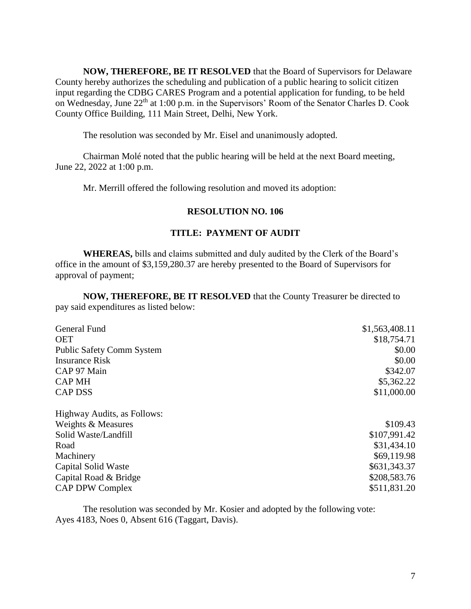**NOW, THEREFORE, BE IT RESOLVED** that the Board of Supervisors for Delaware County hereby authorizes the scheduling and publication of a public hearing to solicit citizen input regarding the CDBG CARES Program and a potential application for funding, to be held on Wednesday, June 22<sup>th</sup> at 1:00 p.m. in the Supervisors' Room of the Senator Charles D. Cook County Office Building, 111 Main Street, Delhi, New York.

The resolution was seconded by Mr. Eisel and unanimously adopted.

Chairman Molé noted that the public hearing will be held at the next Board meeting, June 22, 2022 at 1:00 p.m.

Mr. Merrill offered the following resolution and moved its adoption:

### **RESOLUTION NO. 106**

### **TITLE: PAYMENT OF AUDIT**

**WHEREAS,** bills and claims submitted and duly audited by the Clerk of the Board's office in the amount of \$3,159,280.37 are hereby presented to the Board of Supervisors for approval of payment;

**NOW, THEREFORE, BE IT RESOLVED** that the County Treasurer be directed to pay said expenditures as listed below:

| General Fund                     | \$1,563,408.11 |
|----------------------------------|----------------|
| <b>OET</b>                       | \$18,754.71    |
| <b>Public Safety Comm System</b> | \$0.00         |
| <b>Insurance Risk</b>            | \$0.00         |
| CAP 97 Main                      | \$342.07       |
| <b>CAP MH</b>                    | \$5,362.22     |
| <b>CAP DSS</b>                   | \$11,000.00    |
| Highway Audits, as Follows:      |                |
| Weights & Measures               | \$109.43       |
| Solid Waste/Landfill             | \$107,991.42   |
| Road                             | \$31,434.10    |
| Machinery                        | \$69,119.98    |
| Capital Solid Waste              | \$631,343.37   |
| Capital Road & Bridge            | \$208,583.76   |
| <b>CAP DPW Complex</b>           | \$511,831.20   |

The resolution was seconded by Mr. Kosier and adopted by the following vote: Ayes 4183, Noes 0, Absent 616 (Taggart, Davis).